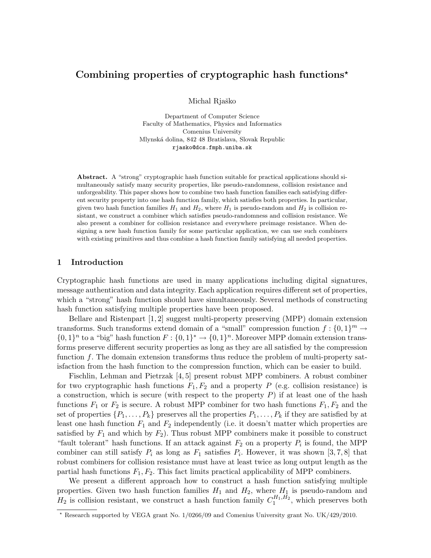# Combining properties of cryptographic hash functions<sup>\*</sup>

Michal Rjaško

Department of Computer Science Faculty of Mathematics, Physics and Informatics Comenius University Mlynsk´a dolina, 842 48 Bratislava, Slovak Republic rjasko@dcs.fmph.uniba.sk

Abstract. A "strong" cryptographic hash function suitable for practical applications should simultaneously satisfy many security properties, like pseudo-randomness, collision resistance and unforgeability. This paper shows how to combine two hash function families each satisfying different security property into one hash function family, which satisfies both properties. In particular, given two hash function families  $H_1$  and  $H_2$ , where  $H_1$  is pseudo-random and  $H_2$  is collision resistant, we construct a combiner which satisfies pseudo-randomness and collision resistance. We also present a combiner for collision resistance and everywhere preimage resistance. When designing a new hash function family for some particular application, we can use such combiners with existing primitives and thus combine a hash function family satisfying all needed properties.

### 1 Introduction

Cryptographic hash functions are used in many applications including digital signatures, message authentication and data integrity. Each application requires different set of properties, which a "strong" hash function should have simultaneously. Several methods of constructing hash function satisfying multiple properties have been proposed.

Bellare and Ristenpart [1, 2] suggest multi-property preserving (MPP) domain extension transforms. Such transforms extend domain of a "small" compression function  $f: \{0,1\}^m \to$  $\{0,1\}^n$  to a "big" hash function  $F: \{0,1\}^n \to \{0,1\}^n$ . Moreover MPP domain extension transforms preserve different security properties as long as they are all satisfied by the compression function f. The domain extension transforms thus reduce the problem of multi-property satisfaction from the hash function to the compression function, which can be easier to build.

Fischlin, Lehman and Pietrzak [4, 5] present robust MPP combiners. A robust combiner for two cryptographic hash functions  $F_1, F_2$  and a property P (e.g. collision resistance) is a construction, which is secure (with respect to the property  $P$ ) if at least one of the hash functions  $F_1$  or  $F_2$  is secure. A robust MPP combiner for two hash functions  $F_1, F_2$  and the set of properties  $\{P_1, \ldots, P_k\}$  preserves all the properties  $P_1, \ldots, P_k$  if they are satisfied by at least one hash function  $F_1$  and  $F_2$  independently (i.e. it doesn't matter which properties are satisfied by  $F_1$  and which by  $F_2$ ). Thus robust MPP combiners make it possible to construct "fault tolerant" hash functions. If an attack against  $F_2$  on a property  $P_i$  is found, the MPP combiner can still satisfy  $P_i$  as long as  $F_1$  satisfies  $P_i$ . However, it was shown [3,7,8] that robust combiners for collision resistance must have at least twice as long output length as the partial hash functions  $F_1, F_2$ . This fact limits practical applicability of MPP combiners.

We present a different approach how to construct a hash function satisfying multiple properties. Given two hash function families  $H_1$  and  $H_2$ , where  $H_1$  is pseudo-random and  $H_2$  is collision resistant, we construct a hash function family  $C_1^{H_1,H_2}$ , which preserves both

<sup>?</sup> Research supported by VEGA grant No. 1/0266/09 and Comenius University grant No. UK/429/2010.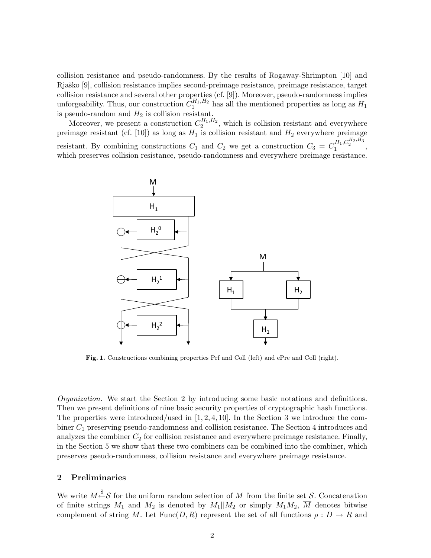collision resistance and pseudo-randomness. By the results of Rogaway-Shrimpton [10] and Rjaško [9], collision resistance implies second-preimage resistance, preimage resistance, target collision resistance and several other properties (cf. [9]). Moreover, pseudo-randomness implies unforgeability. Thus, our construction  $C_1^{H_1,H_2}$  has all the mentioned properties as long as  $H_1$ is pseudo-random and  $H_2$  is collision resistant.

Moreover, we present a construction  $C_2^{H_1,H_2}$ , which is collision resistant and everywhere preimage resistant (cf. [10]) as long as  $H_1$  is collision resistant and  $H_2$  everywhere preimage resistant. By combining constructions  $C_1$  and  $C_2$  we get a construction  $C_3 = C_1^{H_1, C_2^{H_2, H_3}}$ , which preserves collision resistance, pseudo-randomness and everywhere preimage resistance.



Fig. 1. Constructions combining properties Prf and Coll (left) and ePre and Coll (right).

Organization. We start the Section 2 by introducing some basic notations and definitions. Then we present definitions of nine basic security properties of cryptographic hash functions. The properties were introduced/used in  $[1, 2, 4, 10]$ . In the Section 3 we introduce the combiner C<sup>1</sup> preserving pseudo-randomness and collision resistance. The Section 4 introduces and analyzes the combiner  $C_2$  for collision resistance and everywhere preimage resistance. Finally, in the Section 5 we show that these two combiners can be combined into the combiner, which preserves pseudo-randomness, collision resistance and everywhere preimage resistance.

# 2 Preliminaries

We write  $M \xrightarrow{\$} \mathcal{S}$  for the uniform random selection of M from the finite set S. Concatenation of finite strings  $M_1$  and  $M_2$  is denoted by  $M_1||M_2$  or simply  $M_1M_2$ ,  $\overline{M}$  denotes bitwise complement of string M. Let  $Func(D, R)$  represent the set of all functions  $\rho: D \to R$  and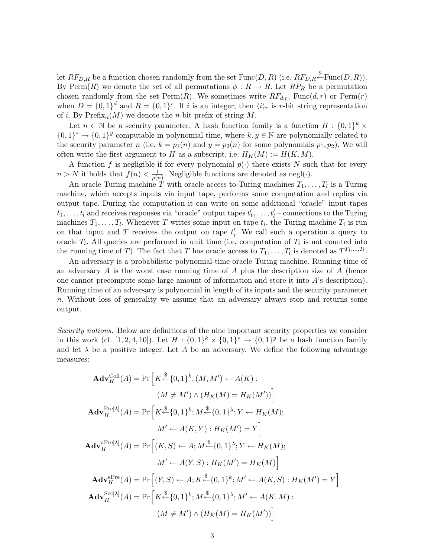let  $RF_{D,R}$  be a function chosen randomly from the set  $Func(D, R)$  (i.e.  $RF_{D,R} \stackrel{\$}{\leftarrow} \text{Func}(D, R)$ ). By Perm(R) we denote the set of all permutations  $\phi: R \to R$ . Let  $RP_R$  be a permutation chosen randomly from the set  $\text{Perm}(R)$ . We sometimes write  $RF_{d,r}$ ,  $\text{Func}(d,r)$  or  $\text{Perm}(r)$ when  $D = \{0,1\}^d$  and  $R = \{0,1\}^r$ . If i is an integer, then  $\langle i \rangle_r$  is r-bit string representation of *i*. By  $\text{Prefix}_n(M)$  we denote the *n*-bit prefix of string M.

Let  $n \in \mathbb{N}$  be a security parameter. A hash function family is a function  $H: \{0,1\}^k \times$  $\{0,1\}^* \to \{0,1\}^y$  computable in polynomial time, where  $k, y \in \mathbb{N}$  are polynomially related to the security parameter n (i.e.  $k = p_1(n)$  and  $y = p_2(n)$  for some polynomials  $p_1, p_2$ ). We will often write the first argument to H as a subscript, i.e.  $H_K(M) := H(K, M)$ .

A function f is negligible if for every polynomial  $p(\cdot)$  there exists N such that for every  $n > N$  it holds that  $f(n) < \frac{1}{n(n)}$  $\frac{1}{p(n)}$ . Negligible functions are denoted as negl( $\cdot$ ).

An oracle Turing machine T with oracle access to Turing machines  $T_1, \ldots, T_l$  is a Turing machine, which accepts inputs via input tape, performs some computation and replies via output tape. During the computation it can write on some additional "oracle" input tapes  $t_1, \ldots, t_l$  and receives responses via "oracle" output tapes  $t'_1, \ldots, t'_l$  – connections to the Turing machines  $T_1, \ldots, T_l$ . Whenever T writes some input on tape  $t_i$ , the Turing machine  $T_i$  is run on that input and T receives the output on tape  $t'_{i}$ . We call such a operation a query to oracle  $T_i$ . All queries are performed in unit time (i.e. computation of  $T_i$  is not counted into the running time of T). The fact that T has oracle access to  $T_1, \ldots, T_l$  is denoted as  $T^{T_1, \ldots, T_l}$ .

An adversary is a probabilistic polynomial-time oracle Turing machine. Running time of an adversary  $A$  is the worst case running time of  $A$  plus the description size of  $A$  (hence one cannot precompute some large amount of information and store it into A's description). Running time of an adversary is polynomial in length of its inputs and the security parameter n. Without loss of generality we assume that an adversary always stop and returns some output.

Security notions. Below are definitions of the nine important security properties we consider in this work (cf. [1, 2, 4, 10]). Let  $H: \{0,1\}^k \times \{0,1\}^* \to \{0,1\}^y$  be a hash function family and let  $\lambda$  be a positive integer. Let A be an adversary. We define the following advantage measures:

$$
\mathbf{Adv}_{H}^{\text{Coll}}(A) = \Pr\left[K \stackrel{\$}{\leftarrow} \{0,1\}^{k}; (M, M') \leftarrow A(K) : (M \neq M') \land (H_{K}(M) = H_{K}(M'))\right]
$$
\n
$$
\mathbf{Adv}_{H}^{\text{Pre}[\lambda]}(A) = \Pr\left[K \stackrel{\$}{\leftarrow} \{0,1\}^{k}; M \stackrel{\$}{\leftarrow} \{0,1\}^{\lambda}; Y \leftarrow H_{K}(M); M' \leftarrow A(K, Y) : H_{K}(M') = Y\right]
$$
\n
$$
\mathbf{Adv}_{H}^{\text{aPre}[\lambda]}(A) = \Pr\left[(K, S) \leftarrow A; M \stackrel{\$}{\leftarrow} \{0,1\}^{\lambda}; Y \leftarrow H_{K}(M); M' \leftarrow A(Y, S) : H_{K}(M') = H_{K}(M)\right]
$$
\n
$$
\mathbf{Adv}_{H}^{\text{ePre}}(A) = \Pr\left[(Y, S) \leftarrow A; K \stackrel{\$}{\leftarrow} \{0,1\}^{k}; M' \leftarrow A(K, S) : H_{K}(M') = Y\right]
$$
\n
$$
\mathbf{Adv}_{H}^{\text{Sec}[\lambda]}(A) = \Pr\left[K \stackrel{\$}{\leftarrow} \{0,1\}^{k}; M \stackrel{\$}{\leftarrow} \{0,1\}^{\lambda}; M' \leftarrow A(K, M) : (M \neq M') \land (H_{K}(M) = H_{K}(M'))\right]
$$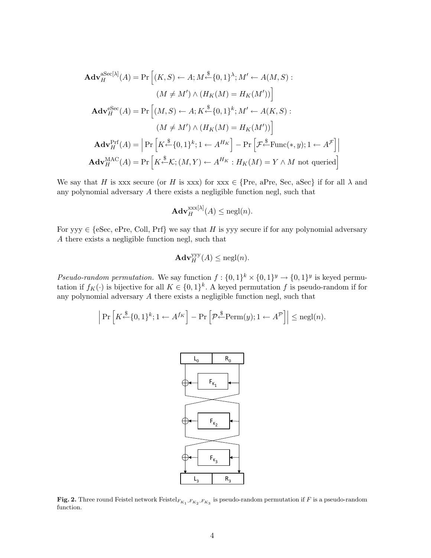$$
\mathbf{Adv}_{H}^{\text{aSec}[\lambda]}(A) = \Pr\left[ (K, S) \leftarrow A; M \stackrel{\$}{\leftarrow} \{0, 1\}^{\lambda}; M' \leftarrow A(M, S) :
$$
\n
$$
(M \neq M') \land (H_{K}(M) = H_{K}(M'))\right]
$$
\n
$$
\mathbf{Adv}_{H}^{\text{eSec}}(A) = \Pr\left[ (M, S) \leftarrow A; K \stackrel{\$}{\leftarrow} \{0, 1\}^{k}; M' \leftarrow A(K, S) :
$$
\n
$$
(M \neq M') \land (H_{K}(M) = H_{K}(M'))\right]
$$
\n
$$
\mathbf{Adv}_{H}^{\text{Prf}}(A) = \left| \Pr\left[ K \stackrel{\$}{\leftarrow} \{0, 1\}^{k}; 1 \leftarrow A^{H_{K}}\right] - \Pr\left[ \mathcal{F} \stackrel{\$}{\leftarrow} \text{Func}(*, y); 1 \leftarrow A^{\mathcal{F}}\right] \right| \right]
$$
\n
$$
\mathbf{Adv}_{H}^{\text{MAC}}(A) = \Pr\left[ K \stackrel{\$}{\leftarrow} K; (M, Y) \leftarrow A^{H_{K}} : H_{K}(M) = Y \land M \text{ not queried}\right]
$$

We say that H is xxx secure (or H is xxx) for xxx  $\in$  {Pre, aPre, Sec, aSec} if for all  $\lambda$  and any polynomial adversary A there exists a negligible function negl, such that

$$
\mathbf{Adv}_{H}^{\mathbf{x}\mathbf{x}\mathbf{x}[\lambda]}(A) \le \mathbf{negl}(n).
$$

For yyy  $\in$  {eSec, ePre, Coll, Prf} we say that H is yyy secure if for any polynomial adversary A there exists a negligible function negl, such that

$$
\mathbf{Adv}_{H}^{\mathsf{yyy}}(A) \le \mathrm{negl}(n).
$$

Pseudo-random permutation. We say function  $f: \{0,1\}^k \times \{0,1\}^y \rightarrow \{0,1\}^y$  is keyed permutation if  $f_K(\cdot)$  is bijective for all  $K \in \{0,1\}^k$ . A keyed permutation f is pseudo-random if for any polynomial adversary A there exists a negligible function negl, such that

$$
\left| \Pr \left[ K \stackrel{\$}{\leftarrow} \{0,1\}^k; 1 \leftarrow A^{f_K} \right] - \Pr \left[ \mathcal{P} \stackrel{\$}{\leftarrow} \text{Perm}(y); 1 \leftarrow A^{\mathcal{P}} \right] \right| \leq \text{negl}(n).
$$



Fig. 2. Three round Feistel network  $\text{Feistel}_{F_{K_1}, F_{K_2}, F_{K_3}}$  is pseudo-random permutation if F is a pseudo-random function.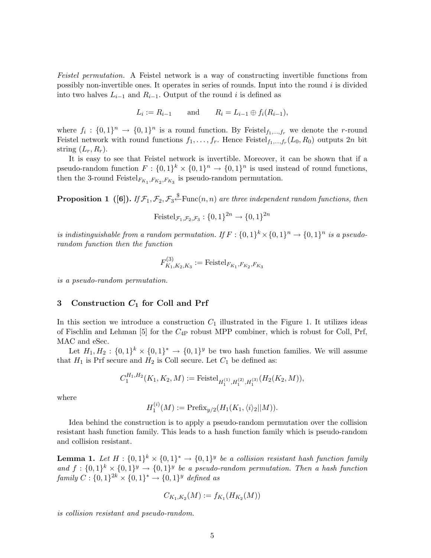Feistel permutation. A Feistel network is a way of constructing invertible functions from possibly non-invertible ones. It operates in series of rounds. Input into the round i is divided into two halves  $L_{i-1}$  and  $R_{i-1}$ . Output of the round i is defined as

$$
L_i := R_{i-1}
$$
 and  $R_i = L_{i-1} \oplus f_i(R_{i-1}),$ 

where  $f_i: \{0,1\}^n \to \{0,1\}^n$  is a round function. By Feistel<sub>f1,...,fr</sub> we denote the r-round Feistel network with round functions  $f_1, \ldots, f_r$ . Hence Feistel $f_1, \ldots, f_r(L_0, R_0)$  outputs  $2n$  bit string  $(L_r, R_r)$ .

It is easy to see that Feistel network is invertible. Moreover, it can be shown that if a pseudo-random function  $F: \{0,1\}^k \times \{0,1\}^n \to \{0,1\}^n$  is used instead of round functions, then the 3-round Feistel $F_{K_1}, F_{K_2}, F_{K_3}$  is pseudo-random permutation.

**Proposition 1** ([6]). If  $\mathcal{F}_1, \mathcal{F}_2, \mathcal{F}_3 \stackrel{\$}{\leftarrow}$  Func $(n, n)$  are three independent random functions, then

Feistel
$$
\mathcal{F}_1, \mathcal{F}_2, \mathcal{F}_3 : \{0, 1\}^{2n} \to \{0, 1\}^{2n}
$$

is indistinguishable from a random permutation. If  $F: \{0,1\}^k \times \{0,1\}^n \to \{0,1\}^n$  is a pseudorandom function then the function

$$
F_{K_1, K_2, K_3}^{(3)} := \text{Feistel}_{F_{K_1}, F_{K_2}, F_{K_3}}
$$

is a pseudo-random permutation.

### 3 Construction  $C_1$  for Coll and Prf

In this section we introduce a construction  $C_1$  illustrated in the Figure 1. It utilizes ideas of Fischlin and Lehman [5] for the  $C_{4P}$  robust MPP combiner, which is robust for Coll, Prf, MAC and eSec.

Let  $H_1, H_2: \{0,1\}^k \times \{0,1\}^* \to \{0,1\}^y$  be two hash function families. We will assume that  $H_1$  is Prf secure and  $H_2$  is Coll secure. Let  $C_1$  be defined as:

$$
C_1^{H_1,H_2}(K_1,K_2,M):=\mathrm{Feistel}_{H_1^{(1)},H_1^{(2)},H_1^{(3)}}(H_2(K_2,M)),
$$

where

$$
H_1^{(i)}(M) := \text{Prefix}_{y/2}(H_1(K_1, \langle i \rangle_2 || M)).
$$

Idea behind the construction is to apply a pseudo-random permutation over the collision resistant hash function family. This leads to a hash function family which is pseudo-random and collision resistant.

**Lemma 1.** Let  $H: \{0,1\}^k \times \{0,1\}^* \rightarrow \{0,1\}^y$  be a collision resistant hash function family and  $f: \{0,1\}^k \times \{0,1\}^y \rightarrow \{0,1\}^y$  be a pseudo-random permutation. Then a hash function  $family C: \{0,1\}^{2k} \times \{0,1\}^* \rightarrow \{0,1\}^y$  defined as

$$
C_{K_1,K_2}(M) := f_{K_1}(H_{K_2}(M))
$$

is collision resistant and pseudo-random.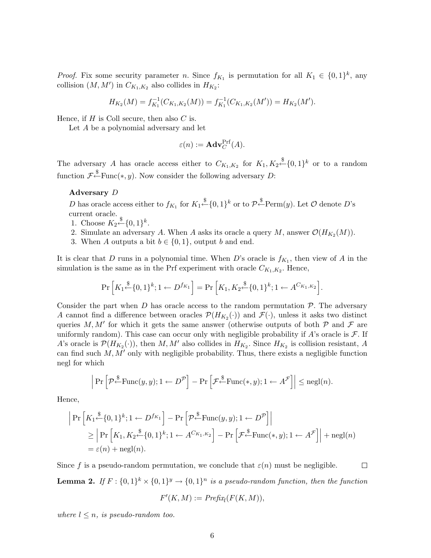*Proof.* Fix some security parameter *n*. Since  $f_{K_1}$  is permutation for all  $K_1 \in \{0,1\}^k$ , any collision  $(M, M')$  in  $C_{K_1, K_2}$  also collides in  $H_{K_2}$ :

$$
H_{K_2}(M) = f_{K_1}^{-1}(C_{K_1,K_2}(M)) = f_{K_1}^{-1}(C_{K_1,K_2}(M')) = H_{K_2}(M').
$$

Hence, if  $H$  is Coll secure, then also  $C$  is.

Let A be a polynomial adversary and let

$$
\varepsilon(n):=\mathbf{Adv}_{C}^{\mathrm{Prf}}(A).
$$

The adversary A has oracle access either to  $C_{K_1,K_2}$  for  $K_1, K_2 \stackrel{\$}{\leftarrow} \{0,1\}^k$  or to a random function  $\mathcal{F}^{\$}$ Func $(*, y)$ . Now consider the following adversary D:

### Adversary D

D has oracle access either to  $f_{K_1}$  for  $K_1 \stackrel{\$}{\leftarrow} \{0,1\}^k$  or to  $\mathcal{P} \stackrel{\$}{\leftarrow} \text{Perm}(y)$ . Let  $\mathcal O$  denote D's current oracle.

- 1. Choose  $K_2 \xleftarrow{\$} \{0,1\}^k$ .
- 2. Simulate an adversary A. When A asks its oracle a query M, answer  $\mathcal{O}(H_{K_2}(M)).$
- 3. When A outputs a bit  $b \in \{0, 1\}$ , output b and end.

It is clear that D runs in a polynomial time. When D's oracle is  $f_{K_1}$ , then view of A in the simulation is the same as in the Prf experiment with oracle  $C_{K_1,K_2}$ . Hence,

$$
\Pr\left[K_1\xleftarrow{\$}\{0,1\}^k; 1 \leftarrow D^{f_{K_1}}\right] = \Pr\left[K_1, K_2\xleftarrow{\$}\{0,1\}^k; 1 \leftarrow A^{C_{K_1,K_2}}\right].
$$

Consider the part when  $D$  has oracle access to the random permutation  $\mathcal{P}$ . The adversary A cannot find a difference between oracles  $\mathcal{P}(H_{K_2}(\cdot))$  and  $\mathcal{F}(\cdot)$ , unless it asks two distinct queries M, M' for which it gets the same answer (otherwise outputs of both  $P$  and  $\mathcal F$  are uniformly random). This case can occur only with negligible probability if  $A$ 's oracle is  $\mathcal{F}$ . If A's oracle is  $\mathcal{P}(H_{K_2}(\cdot))$ , then M, M' also collides in  $H_{K_2}$ . Since  $H_{K_2}$  is collision resistant, A can find such  $M, M'$  only with negligible probability. Thus, there exists a negligible function negl for which

$$
\left| \Pr \left[ \mathcal{P} \stackrel{\$}{\leftarrow} \text{Func}(y, y); 1 \leftarrow D^{\mathcal{P}} \right] - \Pr \left[ \mathcal{F} \stackrel{\$}{\leftarrow} \text{Func}(*, y); 1 \leftarrow A^{\mathcal{F}} \right] \right| \leq \text{negl}(n).
$$

Hence,

$$
\begin{aligned}\n\left| \Pr \left[ K_1 \xleftarrow{\$} \{0,1\}^k; 1 \leftarrow D^{f_{K_1}} \right] - \Pr \left[ \mathcal{P} \xleftarrow{\$} \text{Func}(y, y); 1 \leftarrow D^{\mathcal{P}} \right] \right] \\
&\geq \left| \Pr \left[ K_1, K_2 \xleftarrow{\$} \{0,1\}^k; 1 \leftarrow A^{C_{K_1, K_2}} \right] - \Pr \left[ \mathcal{F} \xleftarrow{\$} \text{Func}(*, y); 1 \leftarrow A^{\mathcal{F}} \right] \right] + \text{negl}(n) \\
&= \varepsilon(n) + \text{negl}(n).\n\end{aligned}
$$

Since f is a pseudo-random permutation, we conclude that  $\varepsilon(n)$  must be negligible.  $\Box$ **Lemma 2.** If  $F: \{0,1\}^k \times \{0,1\}^y \rightarrow \{0,1\}^n$  is a pseudo-random function, then the function

$$
F'(K, M) := \text{Prefix}_l(F(K, M)),
$$

where  $l \leq n$ , is pseudo-random too.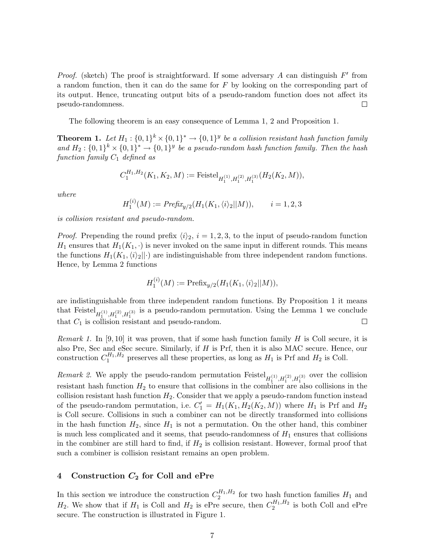*Proof.* (sketch) The proof is straightforward. If some adversary A can distinguish  $F'$  from a random function, then it can do the same for  $F$  by looking on the corresponding part of its output. Hence, truncating output bits of a pseudo-random function does not affect its pseudo-randomness.  $\Box$ 

The following theorem is an easy consequence of Lemma 1, 2 and Proposition 1.

**Theorem 1.** Let  $H_1: \{0,1\}^k \times \{0,1\}^* \to \{0,1\}^y$  be a collision resistant hash function family and  $H_2: \{0,1\}^k \times \{0,1\}^* \to \{0,1\}^y$  be a pseudo-random hash function family. Then the hash function family  $C_1$  defined as

$$
C_1^{H_1,H_2}(K_1,K_2,M):=\mathrm{Feistel}_{H_1^{(1)},H_1^{(2)},H_1^{(3)}}(H_2(K_2,M)),
$$

where

$$
H_1^{(i)}(M) := \text{Prefix}_{y/2}(H_1(K_1, \langle i \rangle_2 || M)), \qquad i = 1, 2, 3
$$

is collision resistant and pseudo-random.

*Proof.* Prepending the round prefix  $\langle i \rangle_2$ ,  $i = 1, 2, 3$ , to the input of pseudo-random function  $H_1$  ensures that  $H_1(K_1, \cdot)$  is never invoked on the same input in different rounds. This means the functions  $H_1(K_1,\langle i \rangle_2||\cdot)$  are indistinguishable from three independent random functions. Hence, by Lemma 2 functions

$$
H_1^{(i)}(M) := \text{Prefix}_{y/2}(H_1(K_1, \langle i \rangle_2 || M)),
$$

are indistinguishable from three independent random functions. By Proposition 1 it means that Feistel  $H_1^{(1)}, H_1^{(2)}, H_1^{(3)}$  is a pseudo-random permutation. Using the Lemma 1 we conclude that  $C_1$  is collision resistant and pseudo-random.  $\Box$ 

Remark 1. In [9, 10] it was proven, that if some hash function family  $H$  is Coll secure, it is also Pre, Sec and eSec secure. Similarly, if H is Prf, then it is also MAC secure. Hence, our construction  $C_1^{H_1,H_2}$  preserves all these properties, as long as  $H_1$  is Prf and  $H_2$  is Coll.

*Remark 2.* We apply the pseudo-random permutation Feistel  $H_1^{(1)}, H_1^{(2)}, H_1^{(3)}$  over the collision resistant hash function  $H_2$  to ensure that collisions in the combiner are also collisions in the collision resistant hash function  $H_2$ . Consider that we apply a pseudo-random function instead of the pseudo-random permutation, i.e.  $C'_1 = H_1(K_1, H_2(K_2, M))$  where  $H_1$  is Prf and  $H_2$ is Coll secure. Collisions in such a combiner can not be directly transformed into collisions in the hash function  $H_2$ , since  $H_1$  is not a permutation. On the other hand, this combiner is much less complicated and it seems, that pseudo-randomness of  $H_1$  ensures that collisions in the combiner are still hard to find, if  $H_2$  is collision resistant. However, formal proof that such a combiner is collision resistant remains an open problem.

# 4 Construction  $C_2$  for Coll and ePre

In this section we introduce the construction  $C_2^{H_1,H_2}$  for two hash function families  $H_1$  and  $H_2$ . We show that if  $H_1$  is Coll and  $H_2$  is ePre secure, then  $C_2^{H_1,H_2}$  is both Coll and ePre secure. The construction is illustrated in Figure 1.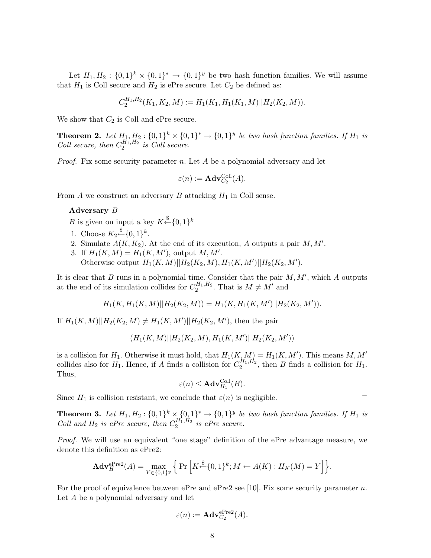Let  $H_1, H_2: \{0,1\}^k \times \{0,1\}^* \to \{0,1\}^y$  be two hash function families. We will assume that  $H_1$  is Coll secure and  $H_2$  is ePre secure. Let  $C_2$  be defined as:

$$
C_2^{H_1,H_2}(K_1,K_2,M) := H_1(K_1,H_1(K_1,M)||H_2(K_2,M)).
$$

We show that  $C_2$  is Coll and ePre secure.

**Theorem 2.** Let  $H_1, H_2: \{0,1\}^k \times \{0,1\}^* \to \{0,1\}^y$  be two hash function families. If  $H_1$  is Coll secure, then  $C_2^{H_1,H_2}$  is Coll secure.

*Proof.* Fix some security parameter n. Let  $A$  be a polynomial adversary and let

$$
\varepsilon(n):=\mathbf{Adv}_{C_2}^{\mathrm{Coll}}(A).
$$

From  $A$  we construct an adversary  $B$  attacking  $H_1$  in Coll sense.

#### Adversary B

B is given on input a key  $K \xleftarrow{\$} \{0,1\}^k$ 

- 1. Choose  $K_2 \xleftarrow{\$} \{0,1\}^k$ .
- 2. Simulate  $A(K, K_2)$ . At the end of its execution, A outputs a pair M, M'.
- 3. If  $H_1(K,M) = H_1(K,M')$ , output  $M, M'$ . Otherwise output  $H_1(K,M)||H_2(K_2,M), H_1(K,M')||H_2(K_2,M').$

It is clear that  $B$  runs in a polynomial time. Consider that the pair  $M, M'$ , which  $A$  outputs at the end of its simulation collides for  $C_2^{H_1,H_2}$ . That is  $M \neq M'$  and

$$
H_1(K, H_1(K, M)||H_2(K_2, M)) = H_1(K, H_1(K, M')||H_2(K_2, M')).
$$

If  $H_1(K,M)||H_2(K_2,M) \neq H_1(K,M')||H_2(K_2,M')$ , then the pair

$$
(H_1(K,M)||H_2(K_2,M),H_1(K,M')||H_2(K_2,M'))
$$

is a collision for  $H_1$ . Otherwise it must hold, that  $H_1(K,M) = H_1(K,M')$ . This means M, M' collides also for  $H_1$ . Hence, if A finds a collision for  $C_2^{H_1,H_2}$ , then B finds a collision for  $H_1$ . Thus,

$$
\varepsilon(n) \leq \mathbf{Adv}_{H_1}^{\text{Coll}}(B).
$$

Since  $H_1$  is collision resistant, we conclude that  $\varepsilon(n)$  is negligible.

**Theorem 3.** Let  $H_1, H_2: \{0,1\}^k \times \{0,1\}^* \rightarrow \{0,1\}^y$  be two hash function families. If  $H_1$  is Coll and  $H_2$  is ePre secure, then  $C_2^{H_1,H_2}$  is ePre secure.

Proof. We will use an equivalent "one stage" definition of the ePre advantage measure, we denote this definition as ePre2:

$$
\mathbf{Adv}_{H}^{\text{ePre2}}(A) = \max_{Y \in \{0,1\}^y} \left\{ \Pr \left[ K \stackrel{\$}{\leftarrow} \{0,1\}^k; M \leftarrow A(K) : H_K(M) = Y \right] \right\}.
$$

For the proof of equivalence between ePre and ePre2 see [10]. Fix some security parameter n. Let A be a polynomial adversary and let

$$
\varepsilon(n):=\mathbf{Adv}_{C_2}^{\mathrm{ePre2}}(A).
$$

 $\Box$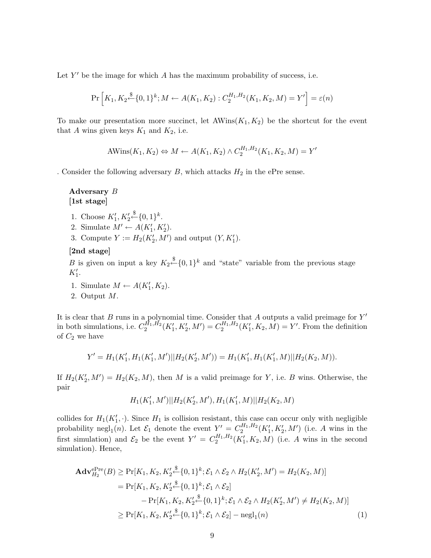Let  $Y'$  be the image for which A has the maximum probability of success, i.e.

$$
\Pr\left[K_1, K_2 \stackrel{\$}{\leftarrow} \{0, 1\}^k; M \leftarrow A(K_1, K_2) : C_2^{H_1, H_2}(K_1, K_2, M) = Y'\right] = \varepsilon(n)
$$

To make our presentation more succinct, let  $\text{AWins}(K_1, K_2)$  be the shortcut for the event that A wins given keys  $K_1$  and  $K_2$ , i.e.

AWins(K1, K2) ⇔ M ← A(K1, K2) ∧ C H1,H<sup>2</sup> 2 (K1, K2, M) = Y 0

. Consider the following adversary  $B$ , which attacks  $H_2$  in the ePre sense.

# Adversary B [1st stage]

- 1. Choose  $K'_1, K'_2 \xleftarrow{\$} \{0,1\}^k$ .
- 2. Simulate  $M' \leftarrow A(K'_1, K'_2)$ .
- 3. Compute  $Y := H_2(K'_2, M')$  and output  $(Y, K'_1)$ .

# [2nd stage]

B is given on input a key  $K_2 \stackrel{\$}{\leftarrow} \{0,1\}^k$  and "state" variable from the previous stage  $K_1'.$ 

- 1. Simulate  $M \leftarrow A(K'_1, K_2)$ .
- 2. Output M.

It is clear that  $B$  runs in a polynomial time. Consider that  $A$  outputs a valid preimage for  $Y'$ in both simulations, i.e.  $C_2^{\hat{H}_1, \hat{H}_2}(K'_1, K'_2, M') = C_2^{H_1, H_2}(K'_1, K_2, M) = Y'$ . From the definition of  $C_2$  we have

$$
Y' = H_1(K_1', H_1(K_1', M')||H_2(K_2', M')) = H_1(K_1', H_1(K_1', M)||H_2(K_2, M)).
$$

If  $H_2(K'_2, M') = H_2(K_2, M)$ , then M is a valid preimage for Y, i.e. B wins. Otherwise, the pair

$$
H_1(K'_1,M')||H_2(K'_2,M'),H_1(K'_1,M)||H_2(K_2,M)
$$

collides for  $H_1(K'_1, \cdot)$ . Since  $H_1$  is collision resistant, this case can occur only with negligible 1 probability negl<sub>1</sub>(n). Let  $\mathcal{E}_1$  denote the event  $Y' = C_2^{H_1,H_2}(K'_1, K'_2, M')$  (i.e. A wins in the first simulation) and  $\mathcal{E}_2$  be the event  $Y' = C_2^{H_1,H_2}(K_1', K_2, M)$  (i.e. A wins in the second simulation). Hence,

$$
\mathbf{Adv}_{H_2}^{\text{ePre}}(B) \ge \Pr[K_1, K_2, K_2' \stackrel{\$}{\leftarrow} \{0, 1\}^k; \mathcal{E}_1 \wedge \mathcal{E}_2 \wedge H_2(K_2', M') = H_2(K_2, M)]
$$
  
\n
$$
= \Pr[K_1, K_2, K_2' \stackrel{\$}{\leftarrow} \{0, 1\}^k; \mathcal{E}_1 \wedge \mathcal{E}_2]
$$
  
\n
$$
- \Pr[K_1, K_2, K_2' \stackrel{\$}{\leftarrow} \{0, 1\}^k; \mathcal{E}_1 \wedge \mathcal{E}_2 \wedge H_2(K_2', M') \ne H_2(K_2, M)]
$$
  
\n
$$
\ge \Pr[K_1, K_2, K_2' \stackrel{\$}{\leftarrow} \{0, 1\}^k; \mathcal{E}_1 \wedge \mathcal{E}_2] - \text{negl}_1(n) \tag{1}
$$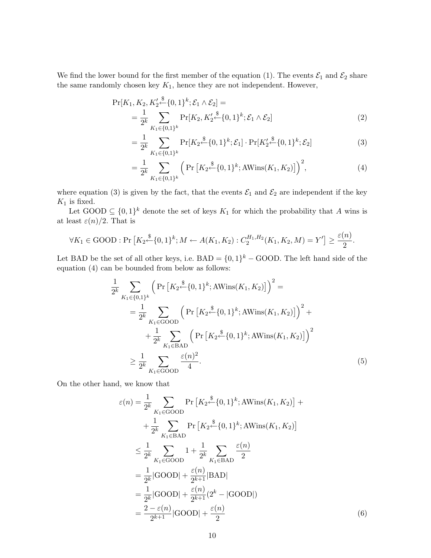We find the lower bound for the first member of the equation (1). The events  $\mathcal{E}_1$  and  $\mathcal{E}_2$  share the same randomly chosen key  $K_1$ , hence they are not independent. However,

$$
\Pr[K_1, K_2, K_2' \stackrel{\$}{\leftarrow} \{0, 1\}^k; \mathcal{E}_1 \wedge \mathcal{E}_2] =
$$
  
= 
$$
\frac{1}{2^k} \sum_{K_1 \in \{0, 1\}^k} \Pr[K_2, K_2' \stackrel{\$}{\leftarrow} \{0, 1\}^k; \mathcal{E}_1 \wedge \mathcal{E}_2]
$$
 (2)

$$
= \frac{1}{2^k} \sum_{K_1 \in \{0,1\}^k} \Pr[K_2 \stackrel{\$}{\leftarrow} \{0,1\}^k; \mathcal{E}_1] \cdot \Pr[K_2' \stackrel{\$}{\leftarrow} \{0,1\}^k; \mathcal{E}_2]
$$
(3)

$$
= \frac{1}{2^k} \sum_{K_1 \in \{0,1\}^k} \left( \Pr\left[ K_2 \stackrel{\$}{\leftarrow} \{0,1\}^k; \text{AWins}(K_1, K_2) \right] \right)^2, \tag{4}
$$

where equation (3) is given by the fact, that the events  $\mathcal{E}_1$  and  $\mathcal{E}_2$  are independent if the key  $\mathcal{K}_1$  is fixed.

Let GOOD  $\subseteq \{0,1\}^k$  denote the set of keys  $K_1$  for which the probability that A wins is at least  $\varepsilon(n)/2$ . That is

$$
\forall K_1 \in {\rm GOOD}: \Pr\left[ K_2 \xleftarrow{\$} \{0,1\}^k; M \leftarrow A(K_1, K_2): C_2^{H_1, H_2}(K_1, K_2, M) = Y'\right] \ge \frac{\varepsilon(n)}{2}.
$$

Let BAD be the set of all other keys, i.e.  $BAD = \{0,1\}^k - \text{GOOD}$ . The left hand side of the equation (4) can be bounded from below as follows:

$$
\frac{1}{2^{k}} \sum_{K_1 \in \{0,1\}^{k}} \left( \Pr\left[ K_2 \stackrel{\$}{\leftarrow} \{0,1\}^{k}; \text{AWins}(K_1, K_2) \right] \right)^2 =
$$
\n
$$
= \frac{1}{2^{k}} \sum_{K_1 \in \text{GOOD}} \left( \Pr\left[ K_2 \stackrel{\$}{\leftarrow} \{0,1\}^{k}; \text{AWins}(K_1, K_2) \right] \right)^2 +
$$
\n
$$
+ \frac{1}{2^{k}} \sum_{K_1 \in \text{BAD}} \left( \Pr\left[ K_2 \stackrel{\$}{\leftarrow} \{0,1\}^{k}; \text{AWins}(K_1, K_2) \right] \right)^2
$$
\n
$$
\geq \frac{1}{2^{k}} \sum_{K_1 \in \text{GOOD}} \frac{\varepsilon(n)^2}{4}.
$$
\n(5)

On the other hand, we know that

$$
\varepsilon(n) = \frac{1}{2^k} \sum_{K_1 \in \text{GOOD}} \Pr\left[K_2 \stackrel{\$}{\leftarrow} \{0, 1\}^k; \text{AWins}(K_1, K_2)\right] + \frac{1}{2^k} \sum_{K_1 \in \text{BAD}} \Pr\left[K_2 \stackrel{\$}{\leftarrow} \{0, 1\}^k; \text{AWins}(K_1, K_2)\right] \\
\leq \frac{1}{2^k} \sum_{K_1 \in \text{GOOD}} 1 + \frac{1}{2^k} \sum_{K_1 \in \text{BAD}} \frac{\varepsilon(n)}{2} \\
= \frac{1}{2^k} |\text{GOOD}| + \frac{\varepsilon(n)}{2^{k+1}} |\text{BAD}| \\
= \frac{1}{2^k} |\text{GOOD}| + \frac{\varepsilon(n)}{2^{k+1}} (2^k - |\text{GOOD}|) \\
= \frac{2 - \varepsilon(n)}{2^{k+1}} |\text{GOOD}| + \frac{\varepsilon(n)}{2}
$$
\n(6)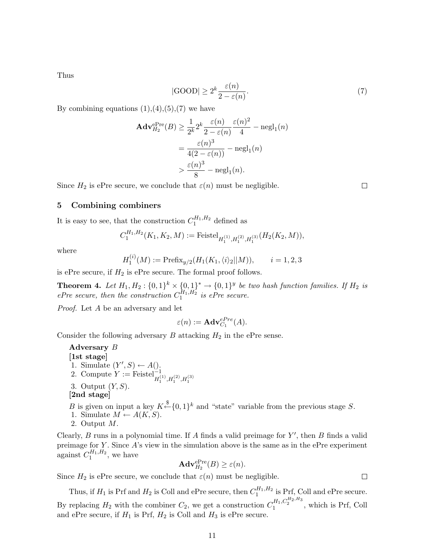Thus

$$
|\text{GOOD}| \ge 2^k \frac{\varepsilon(n)}{2 - \varepsilon(n)}.\tag{7}
$$

By combining equations  $(1),(4),(5),(7)$  we have

$$
\begin{aligned} \mathbf{Adv}_{H_2}^{\text{ePre}}(B) &\ge \frac{1}{2^k} 2^k \frac{\varepsilon(n)}{2 - \varepsilon(n)} \frac{\varepsilon(n)^2}{4} - \text{negl}_1(n) \\ &= \frac{\varepsilon(n)^3}{4(2 - \varepsilon(n))} - \text{negl}_1(n) \\ &> \frac{\varepsilon(n)^3}{8} - \text{negl}_1(n). \end{aligned}
$$

Since  $H_2$  is ePre secure, we conclude that  $\varepsilon(n)$  must be negligible.

 $\Box$ 

 $\Box$ 

# 5 Combining combiners

It is easy to see, that the construction  $C_1^{H_1,H_2}$  defined as

$$
C_1^{H_1,H_2}(K_1,K_2,M) := \mathrm{Feistel}_{H_1^{(1)},H_1^{(2)},H_1^{(3)}}(H_2(K_2,M)),
$$

where

$$
H_1^{(i)}(M) := \text{Prefix}_{y/2}(H_1(K_1, \langle i \rangle_2 || M)), \qquad i = 1, 2, 3
$$

is ePre secure, if  $H_2$  is ePre secure. The formal proof follows.

**Theorem 4.** Let  $H_1, H_2: \{0,1\}^k \times \{0,1\}^* \rightarrow \{0,1\}^y$  be two hash function families. If  $H_2$  is ePre secure, then the construction  $C_1^{H_1,H_2}$  is ePre secure.

Proof. Let A be an adversary and let

$$
\varepsilon(n) := \mathbf{Adv}_{C_1}^{ePre}(A).
$$

Consider the following adversary  $B$  attacking  $H_2$  in the ePre sense.

Adversary B [1st stage] 1. Simulate  $(Y', S) \leftarrow A()$ . 2. Compute  $Y := \text{Feistel}_{H_1^{(1)}, H_1^{(2)}, H_1^{(3)}}^{=}$ 3. Output  $(Y, S)$ . [2nd stage]

B is given on input a key  $K \stackrel{\$}{\leftarrow} \{0,1\}^k$  and "state" variable from the previous stage S.

- 1. Simulate  $M \leftarrow A(K, S)$ .
- 2. Output M.

Clearly,  $B$  runs in a polynomial time. If  $A$  finds a valid preimage for  $Y'$ , then  $B$  finds a valid preimage for  $Y$ . Since  $A$ 's view in the simulation above is the same as in the ePre experiment against  $C_1^{H_1,H_2}$ , we have

$$
\mathbf{Adv}_{H_2}^{\mathrm{ePre}}(B) \ge \varepsilon(n).
$$

Since  $H_2$  is ePre secure, we conclude that  $\varepsilon(n)$  must be negligible.

Thus, if  $H_1$  is Prf and  $H_2$  is Coll and ePre secure, then  $C_1^{H_1,H_2}$  is Prf, Coll and ePre secure. By replacing  $H_2$  with the combiner  $C_2$ , we get a construction  $C_1^{H_1, C_2^{H_2, H_3}}$ , which is Prf, Coll and ePre secure, if  $H_1$  is Prf,  $H_2$  is Coll and  $H_3$  is ePre secure.